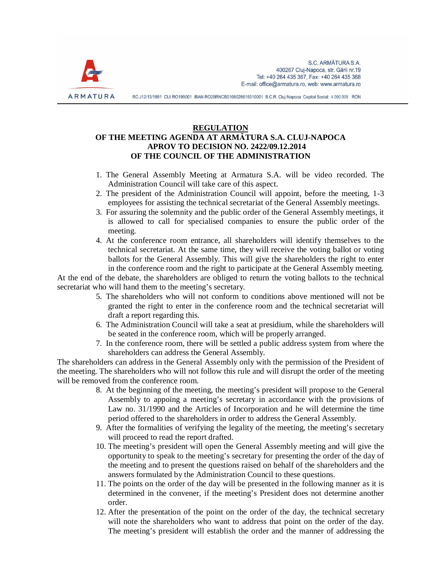

RC J12/13/1991 CUI RO199001 IBAN RO29RNCB0106026615010001 B.C.R. Cluj-Napoca Capital Social: 4.000.000 RON

## **REGULATION OF THE MEETING AGENDA AT ARMĂTURA S.A. CLUJ-NAPOCA APROV TO DECISION NO. 2422/09.12.2014 OF THE COUNCIL OF THE ADMINISTRATION**

- 1. The General Assembly Meeting at Armatura S.A. will be video recorded. The Administration Council will take care of this aspect.
- 2. The president of the Administration Council will appoint, before the meeting, 1-3 employees for assisting the technical secretariat of the General Assembly meetings.
- 3. For assuring the solemnity and the public order of the General Assembly meetings, it is allowed to call for specialised companies to ensure the public order of the meeting.
- 4. At the conference room entrance, all shareholders will identify themselves to the technical secretariat. At the same time, they will receive the voting ballot or voting ballots for the General Assembly. This will give the shareholders the right to enter in the conference room and the right to participate at the General Assembly meeting.

At the end of the debate, the shareholders are obliged to return the voting ballots to the technical secretariat who will hand them to the meeting's secretary.

- 5. The shareholders who will not conform to conditions above mentioned will not be granted the right to enter in the conference room and the technical secretariat will draft a report regarding this.
- 6. The Administration Council will take a seat at presidium, while the shareholders will be seated in the conference room, which will be properly arranged.
- 7. In the conference room, there will be settled a public address system from where the shareholders can address the General Assembly.

The shareholders can address in the General Assembly only with the permission of the President of the meeting. The shareholders who will not follow this rule and will disrupt the order of the meeting will be removed from the conference room.

- 8. At the beginning of the meeting, the meeting's president will propose to the General Assembly to appoing a meeting's secretary in accordance with the provisions of Law no. 31/1990 and the Articles of Incorporation and he will determine the time period offered to the shareholders in order to address the General Assembly.
- 9. After the formalities of verifying the legality of the meeting, the meeting's secretary will proceed to read the report drafted.
- 10. The meeting's president will open the General Assembly meeting and will give the opportunity to speak to the meeting's secretary for presenting the order of the day of the meeting and to present the questions raised on behalf of the shareholders and the answers formulated by the Administration Council to these questions.
- 11. The points on the order of the day will be presented in the following manner as it is determined in the convener, if the meeting's President does not determine another order.
- 12. After the presentation of the point on the order of the day, the technical secretary will note the shareholders who want to address that point on the order of the day. The meeting's president will establish the order and the manner of addressing the